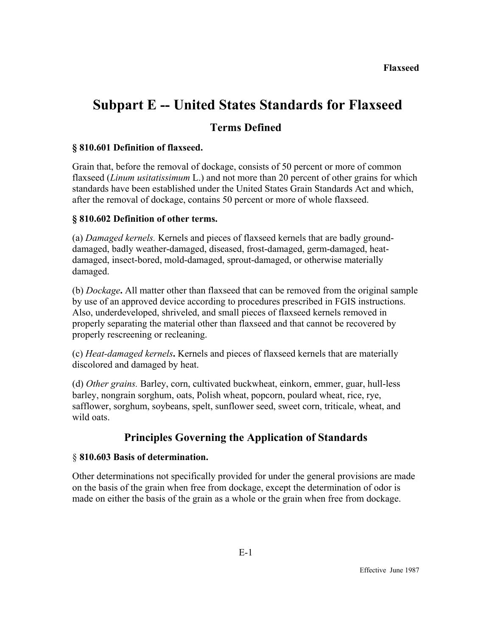# **Subpart E -- United States Standards for Flaxseed**

## **Terms Defined**

### **§ 810.601 Definition of flaxseed.**

Grain that, before the removal of dockage, consists of 50 percent or more of common flaxseed (*Linum usitatissimum* L.) and not more than 20 percent of other grains for which standards have been established under the United States Grain Standards Act and which, after the removal of dockage, contains 50 percent or more of whole flaxseed.

### **§ 810.602 Definition of other terms.**

(a) *Damaged kernels.* Kernels and pieces of flaxseed kernels that are badly grounddamaged, badly weather-damaged, diseased, frost-damaged, germ-damaged, heatdamaged, insect-bored, mold-damaged, sprout-damaged, or otherwise materially damaged.

(b) *Dockage***.** All matter other than flaxseed that can be removed from the original sample by use of an approved device according to procedures prescribed in FGIS instructions. Also, underdeveloped, shriveled, and small pieces of flaxseed kernels removed in properly separating the material other than flaxseed and that cannot be recovered by properly rescreening or recleaning.

(c) *Heat-damaged kernels***.** Kernels and pieces of flaxseed kernels that are materially discolored and damaged by heat.

(d) *Other grains.* Barley, corn, cultivated buckwheat, einkorn, emmer, guar, hull-less barley, nongrain sorghum, oats, Polish wheat, popcorn, poulard wheat, rice, rye, safflower, sorghum, soybeans, spelt, sunflower seed, sweet corn, triticale, wheat, and wild oats

# **Principles Governing the Application of Standards**

### § **810.603 Basis of determination.**

Other determinations not specifically provided for under the general provisions are made on the basis of the grain when free from dockage, except the determination of odor is made on either the basis of the grain as a whole or the grain when free from dockage.